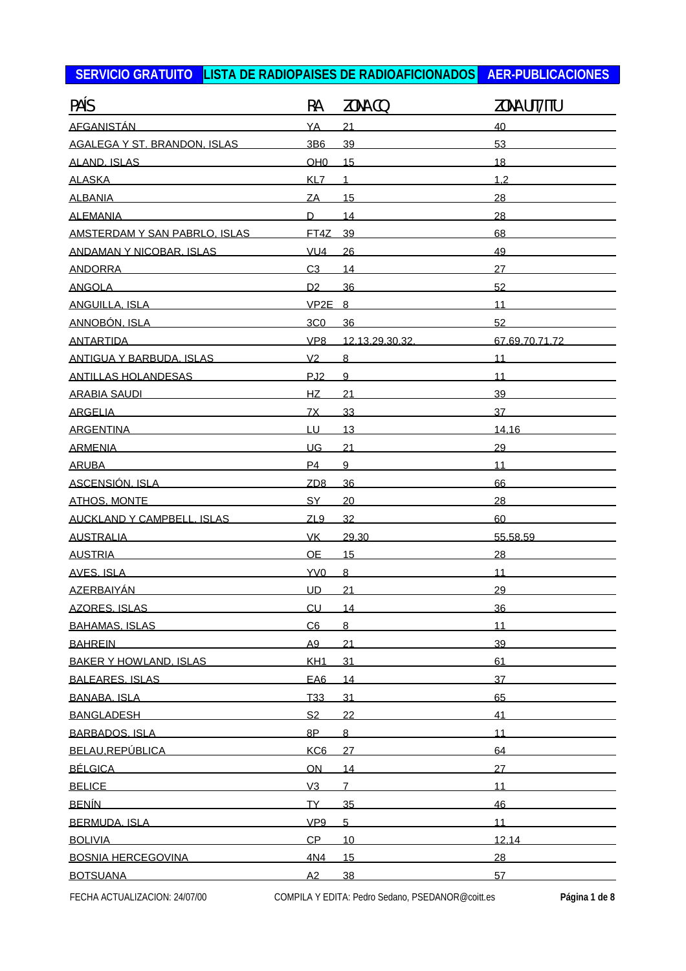| PAÍS                                                                                                           | RA              | ZONA CQ        | ZONA UIT/ITU   |
|----------------------------------------------------------------------------------------------------------------|-----------------|----------------|----------------|
| <b>AFGANISTÁN</b>                                                                                              | YA              | 21             | 40             |
| <b>AGALEGA Y ST. BRANDON. ISLAS</b>                                                                            | 3B <sub>6</sub> | 39             | 53             |
| <b>ALAND. ISLAS</b>                                                                                            | OH <sub>0</sub> | 15             | 18             |
| <b>ALASKA</b>                                                                                                  | KL7             | 1              | 1.2            |
| <b>ALBANIA</b>                                                                                                 | ZA              | 15             | 28             |
| <b>ALEMANIA</b>                                                                                                | D               | 14             | 28             |
| AMSTERDAM Y SAN PABRLO. ISLAS                                                                                  | FT4Z            | 39             | 68             |
| <b>ANDAMAN Y NICOBAR. ISLAS</b>                                                                                | VU4             | 26             | 49             |
| <b>ANDORRA</b>                                                                                                 | C <sub>3</sub>  | 14             | 27             |
| <b>ANGOLA</b>                                                                                                  | D <sub>2</sub>  | 36             | 52             |
| <b>ANGUILLA, ISLA</b>                                                                                          | $VP2E$ 8        |                | 11             |
| ANNOBÓN. ISLA                                                                                                  | 3C <sub>0</sub> | 36             | 52             |
| <b>ANTARTIDA</b>                                                                                               | VP <sub>8</sub> | 12.13.29.30.32 | 67.69.70.71.72 |
| ANTIGUA Y BARBUDA. ISLAS                                                                                       | V <sub>2</sub>  | $\overline{8}$ | 11             |
| <b>ANTILLAS HOLANDESAS</b>                                                                                     | PJ <sub>2</sub> | 9              | 11             |
| <b>ARABIA SAUDI</b>                                                                                            | HZ              | 21             | 39             |
| <b>ARGELIA</b>                                                                                                 | 7X              | 33             | 37             |
| <b>ARGENTINA</b>                                                                                               | LU              | 13             | 14.16          |
| <b>ARMENIA</b>                                                                                                 | UG              | 21             | 29             |
| <b>ARUBA</b>                                                                                                   | P <sub>4</sub>  | 9              | 11             |
| <b>ASCENSIÓN, ISLA</b>                                                                                         | ZD <sub>8</sub> | 36             | 66             |
| <b>ATHOS, MONTE</b>                                                                                            | <b>SY</b>       | 20             | 28             |
| <b>AUCKLAND Y CAMPBELL, ISLAS</b>                                                                              | ZL9             | 32             | 60             |
| <b>AUSTRALIA</b>                                                                                               | <b>VK</b>       | 29.30          | 55.58.59       |
| <b>AUSTRIA</b>                                                                                                 | <b>OE</b>       | 15             | 28             |
| <b>AVES. ISLA</b>                                                                                              | YV0             | $\overline{8}$ | 11             |
| <b>AZERBAIYÁN</b>                                                                                              | <b>UD</b>       | 21             | 29             |
| <b>AZORES, ISLAS</b>                                                                                           | CU              | 14             | 36             |
| BAHAMAS. ISLAS PARA AND PARAGUAI DE PARA A CONTRA A CONTRA A CONTRA A CONTRA A CONTRA A CONTRA A CONTRA A CONT | C6              | 8              | 11             |
| <b>BAHREIN</b>                                                                                                 | A <sub>9</sub>  | 21             | 39             |
| <b>BAKER Y HOWLAND, ISLAS</b>                                                                                  | KH <sub>1</sub> | 31             | 61             |
| BALEARES. ISLAS                                                                                                | EA <sub>6</sub> | 14             | 37             |
| BANABA. ISLA                                                                                                   | T <sub>33</sub> | 31             | 65             |
| BANGLADESH                                                                                                     | S <sub>2</sub>  | 22             | 41             |
| BARBADOS, ISLA                                                                                                 | 8P              | 8 <sub>1</sub> | 11             |
| BELAU,REPÚBLICA                                                                                                | KC <sub>6</sub> | 27             | 64             |
| <u>BÉLGICA</u>                                                                                                 | ON              | 14             | 27             |
| BELICE <b>International Security</b>                                                                           | V3              | $\overline{7}$ | 11             |
| <u>BENÍN</u>                                                                                                   | TY_             | 35             | 46             |
| BERMUDA, ISLA                                                                                                  | VP <sub>9</sub> | 5 <sub>1</sub> | 11             |
| <b>BOLIVIA</b>                                                                                                 | CP              | 10             | 12.14          |
| <b>BOSNIA HERCEGOVINA</b>                                                                                      | 4N4             | 15             | 28             |
| <b>BOTSUANA</b>                                                                                                | A2              | 38             | 57             |
|                                                                                                                |                 |                |                |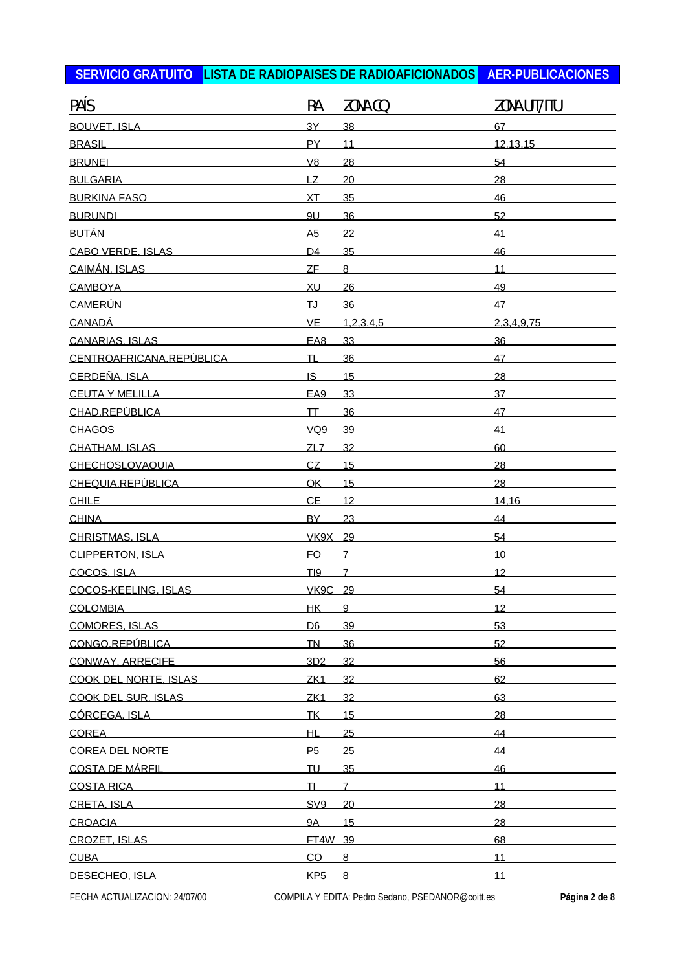| PAÍS                       | RA              | ZONA CQ        | ZONA UIT/ITU |
|----------------------------|-----------------|----------------|--------------|
| <b>BOUVET, ISLA</b>        | 3Y              | 38             | 67           |
| <b>BRASIL</b>              | PY              | 11             | 12.13.15     |
| <b>BRUNEL</b>              | V8              | 28             | 54           |
| <b>BULGARIA</b>            | <b>LZ</b>       | 20             | 28           |
| <b>BURKINA FASO</b>        | XT              | 35             | 46           |
| <b>BURUNDL</b>             | 9U              | 36             | 52           |
| <b>BUTÁN</b>               | A <sub>5</sub>  | 22             | 41           |
| <b>CABO VERDE. ISLAS</b>   | D <sub>4</sub>  | 35             | 46           |
| CAIMÁN, ISLAS              | <b>ZF</b>       | $\overline{8}$ | 11           |
| <b>CAMBOYA</b>             | XU              | 26             | 49           |
| <b>CAMERÚN</b>             | IJ              | 36             | 47           |
| <b>CANADÁ</b>              | $VE$            | 1.2.3.4.5      | 2.3.4.9.75   |
| CANARIAS, ISLAS            | EA8             | 33             | 36           |
| CENTROAFRICANA.REPÚBLICA   | <b>TL</b>       | 36             | 47           |
| CERDEÑA, ISLA              | IS.             | 15             | 28           |
| <b>CEUTA Y MELILLA</b>     | EA <sub>9</sub> | 33             | 37           |
| CHAD.REPÚBLICA             | <b>TT</b>       | 36             | 47           |
| <b>CHAGOS</b>              | VQ9             | 39             | 41           |
| CHATHAM, ISLAS             | ZL7             | 32             | 60           |
| <b>CHECHOSLOVAQUIA</b>     | CZ              | 15             | 28           |
| CHEQUIA.REPÚBLICA          | <b>OK</b>       | 15             | 28           |
| <b>CHILE</b>               | <b>CE</b>       | 12             | 14.16        |
| <b>CHINA</b>               | <b>BY</b>       | 23             | 44           |
| <b>CHRISTMAS, ISLA</b>     | VK9X 29         |                | 54           |
| CLIPPERTON, ISLA           | <b>FO</b>       | $\overline{7}$ | 10           |
| COCOS. ISLA                | TI9             | $\overline{7}$ | 12           |
| COCOS-KEELING, ISLAS       | <b>VK9C 29</b>  |                | 54           |
| COLOMBIA                   | HK              | 9              | 12           |
| <b>COMORES, ISLAS</b>      | D <sub>6</sub>  | 39             | 53           |
| CONGO.REPÚBLICA            | <b>TN</b>       | 36             | 52           |
| CONWAY, ARRECIFE           | 3D2             | 32             | 56           |
| COOK DEL NORTE. ISLAS      | ZK <sub>1</sub> | 32             | 62           |
| <b>COOK DEL SUR. ISLAS</b> | ZK <sub>1</sub> | 32             | 63           |
| CÓRCEGA, ISLA              | TK              | 15             | 28           |
| <b>COREA</b>               | НL              | 25             | 44           |
| <b>COREA DEL NORTE</b>     | P <sub>5</sub>  | 25             | 44           |
| <b>COSTA DE MÁRFIL</b>     | <b>TU</b>       | 35             | 46           |
| <b>COSTA RICA</b>          | <b>TI</b>       | $\overline{7}$ | 11           |
| CRETA, ISLA                | SV <sub>9</sub> | 20             | 28           |
| <b>CROACIA</b>             | <b>9A</b>       | 15             | 28           |
| CROZET. ISLAS              | FT4W 39         |                | 68           |
| <b>CUBA</b>                | CO              | 8              | 11           |
| DESECHEO, ISLA             | KP <sub>5</sub> | 8              | 11           |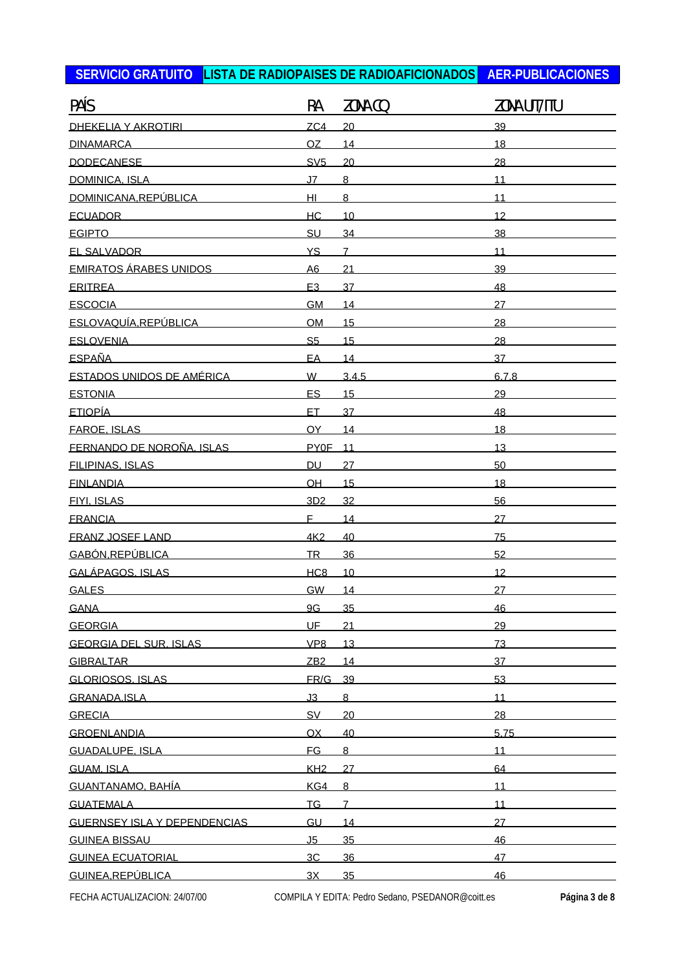| PAÍS                                | RA              | ZONA CQ         | ZONA UIT/ITU |
|-------------------------------------|-----------------|-----------------|--------------|
| <b>DHEKELIA Y AKROTIRI</b>          | ZC4             | 20              | 39           |
| <b>DINAMARCA</b>                    | OZ              | 14              | 18           |
| <b>DODECANESE</b>                   | SV5             | 20              | 28           |
| <b>DOMINICA, ISLA</b>               | J <sub>7</sub>  | 8               | 11           |
| DOMINICANA.REPÚBLICA                | Щ               | $\overline{8}$  | 11           |
| <b>ECUADOR</b>                      | <b>HC</b>       | 10              | 12           |
| <b>EGIPTO</b>                       | SU              | 34              | 38           |
| <b>EL SALVADOR</b>                  | <b>YS</b>       | $\overline{7}$  | 11           |
| <b>EMIRATOS ÁRABES UNIDOS</b>       | A6              | $\overline{21}$ | 39           |
| <b>ERITREA</b>                      | E <sub>3</sub>  | 37              | 48           |
| <b>ESCOCIA</b>                      | <b>GM</b>       | 14              | 27           |
| ESLOVAQUÍA.REPÚBLICA                | <b>OM</b>       | 15              | 28           |
| <b>ESLOVENIA ESLOVENIA</b>          | S <sub>5</sub>  | 15              | 28           |
| <b>ESPAÑA</b>                       | EA              | 14              | 37           |
| <b>ESTADOS UNIDOS DE AMÉRICA</b>    | W               | 3.4.5           | 6.7.8        |
| <b>ESTONIA</b>                      | ES              | 15              | 29           |
| <b>ETIOPÍA</b>                      | ET.             | 37              | 48           |
| <b>FAROE, ISLAS</b>                 | OY              | 14              | 18           |
| FERNANDO DE NOROÑA. ISLAS           | <b>PYOF</b>     | 11              | 13           |
| <b>FILIPINAS, ISLAS</b>             | <b>DU</b>       | 27              | 50           |
| <b>FINLANDIA</b>                    | OH              | 15              | 18           |
| <b>FIYI. ISLAS</b>                  | 3D2             | 32              | 56           |
| <b>FRANCIA</b>                      | F.              | 14              | 27           |
| <b>FRANZ JOSEF LAND</b>             | 4K <sub>2</sub> | 40              | 75           |
| GABÓN.REPÚBLICA                     | <b>TR</b>       | 36              | 52           |
| GALÁPAGOS. ISLAS                    | HC <sub>8</sub> | 10              | 12           |
| <b>GALES</b>                        | <b>GW</b>       | 14              | 27           |
| <b>GANA</b>                         | 9G              | 35              | 46           |
| <b>GEORGIA</b>                      | UF_             | 21              | 29           |
| <b>GEORGIA DEL SUR. ISLAS</b>       | VP <sub>8</sub> | 13              | 73           |
| <b>GIBRALTAR</b>                    | ZB2             | 14              | 37           |
| GLORIOSOS, ISLAS                    | FR/G 39         |                 | 53           |
| GRANADA.ISLA                        | J3              | 8               | 11           |
| <b>GRECIA</b>                       | <b>SV</b>       | 20              | 28           |
| <b>GROENLANDIA</b>                  | <b>OX</b>       | 40              | 5.75         |
| <b>GUADALUPE, ISLA</b>              | <b>FG</b>       | 8               | 11           |
| <b>GUAM. ISLA</b>                   | KH2             | 27              | 64           |
| GUANTANAMO. BAHÍA                   | KG4             | 8               | 11           |
| <b>GUATEMALA</b>                    | <b>TG</b>       | $\overline{7}$  | 11           |
| <b>GUERNSEY ISLA Y DEPENDENCIAS</b> | GU              | 14              | 27           |
| <b>GUINEA BISSAU</b>                | J <sub>5</sub>  | 35              | 46           |
| <b>GUINEA ECUATORIAL</b>            | 3C              | 36              | 47           |
| GUINEA.REPÚBLICA                    | 3X              | 35              | 46           |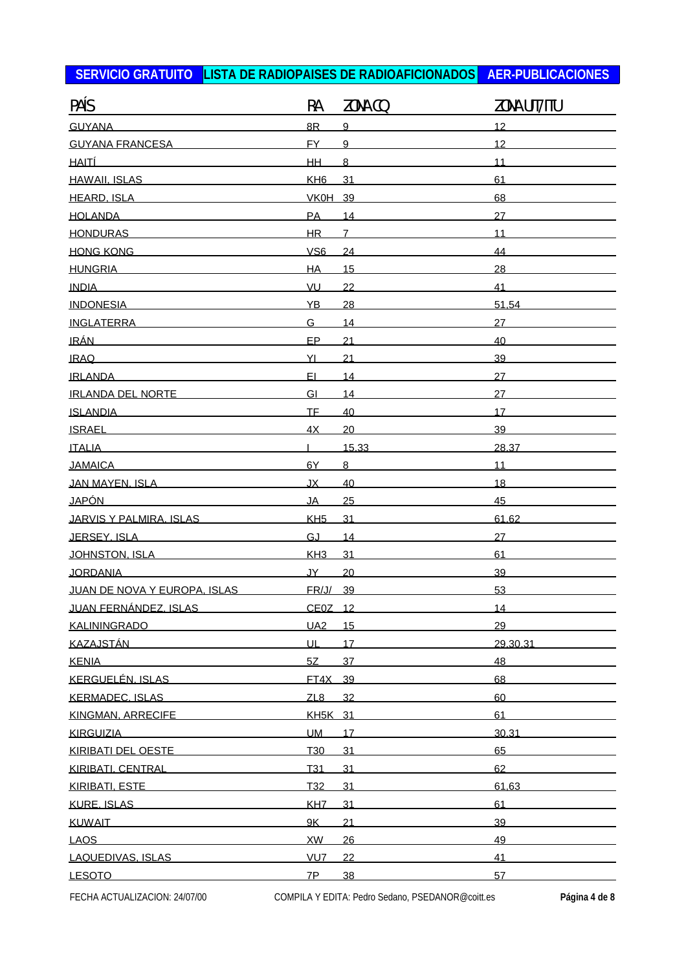| PAÍS                         | RA              | ZONA CQ        | ZONA UIT/ITU |
|------------------------------|-----------------|----------------|--------------|
| <b>GUYANA</b>                | 8R              | 9              | 12           |
| <b>GUYANA FRANCESA</b>       | <b>FY</b>       | 9              | 12           |
| <u>HAITÍ</u>                 | <b>HH</b>       | 8              | 11           |
| <b>HAWAII. ISLAS</b>         | KH <sub>6</sub> | 31             | 61           |
| <b>HEARD, ISLA</b>           | <b>VK0H</b>     | 39             | 68           |
| <b>HOLANDA</b>               | PA              | 14             | 27           |
| <b>HONDURAS</b>              | <b>HR</b>       | $\overline{7}$ | 11           |
| <b>HONG KONG</b>             | VS <sub>6</sub> | 24             | 44           |
| <b>HUNGRIA</b>               | <b>HA</b>       | 15             | 28           |
| <b>INDIA</b>                 | VU              | 22             | 41           |
| <b>INDONESIA</b>             | YB              | 28             | 51.54        |
| <b>INGLATERRA</b>            | G.              | 14             | 27           |
|                              | EP              | 21             | 40           |
| <b>IRAQ</b>                  | YI              | 21             | 39           |
| <b>IRLANDA</b>               | EI.             | 14             | 27           |
| <b>IRLANDA DEL NORTE</b>     | GI              | 14             | 27           |
| <u>ISLANDIA</u>              | <b>TF</b>       | 40             | 17           |
| <b>ISRAEL</b>                | 4X              | 20             | 39           |
| <b>ITALIA</b>                |                 | 15.33          | 28.37        |
| <b>JAMAICA</b>               | 6Y              | 8              | 11           |
| JAN MAYEN, ISLA              | JX              | 40             | 18           |
| JAPÓN                        | <b>JA</b>       | 25             | 45           |
| JARVIS Y PALMIRA. ISLAS      | KH <sub>5</sub> | 31             | 61.62        |
| JERSEY, ISLA                 | GJ              | 14             | 27           |
| JOHNSTON, ISLA               | KH <sub>3</sub> | 31             | 61           |
| <b>JORDANIA</b>              | JY L            | 20             | 39           |
| JUAN DE NOVA Y EUROPA. ISLAS | FR/J/ 39        |                | 53           |
| JUAN FERNÁNDEZ. ISLAS        | CE0Z 12         |                | 14           |
| <b>KALININGRADO</b>          | <b>UA2</b>      | 15             | 29           |
| <b>KAZAJSTÁN</b>             | UL              | 17             | 29.30.31     |
| <b>KENIA</b>                 | 5Z              | 37             | 48           |
| KERGUELÉN. ISLAS             | FT4X 39         |                | 68           |
| <b>KERMADEC. ISLAS</b>       | ZL8             | 32             | 60           |
| KINGMAN, ARRECIFE            | KH5K 31         |                | 61           |
| <b>KIRGUIZIA</b>             | <b>UM</b>       | 17             | 30.31        |
| KIRIBATI DEL OESTE           | T <sub>30</sub> | 31             | 65           |
| KIRIBATI. CENTRAL            | T <sub>31</sub> | 31             | 62           |
| KIRIBATI, ESTE               | T <sub>32</sub> | 31             | 61.63        |
| <b>KURE. ISLAS</b>           | KH <sub>7</sub> | 31             | 61           |
| <b>KUWAIT</b>                | 9K              | 21             | 39           |
| <b>LAOS</b>                  | XW              | 26             | 49           |
| <b>LAQUEDIVAS, ISLAS</b>     | VU <sub>7</sub> | 22             | 41           |
| <b>LESOTO</b>                | 7P              | 38             | 57           |
|                              |                 |                |              |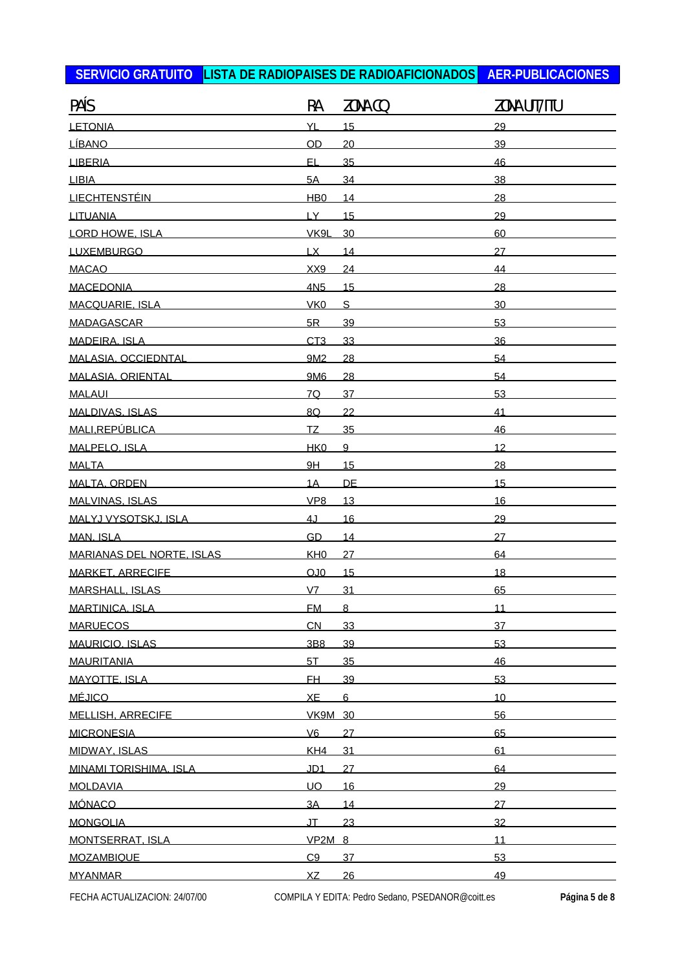| PAÍS                             | RA               | ZONA CQ        | ZONA UIT/ITU |
|----------------------------------|------------------|----------------|--------------|
| <b>LETONIA</b>                   | YL               | 15             | 29           |
| <b>LÍBANO</b>                    | OD               | 20             | 39           |
| <b>LIBERIA</b>                   | EL               | 35             | 46           |
| <b>LIBIA</b>                     | 5A               | 34             | 38           |
| <b>LIECHTENSTÉIN</b>             | H <sub>B</sub> O | 14             | 28           |
| <b>LITUANIA</b>                  | LY_              | 15             | 29           |
| <b>LORD HOWE, ISLA</b>           | VK9L             | 30             | 60           |
| <b>LUXEMBURGO</b>                | LX               | 14             | 27           |
| <b>MACAO</b>                     | XX9              | 24             | 44           |
| <b>MACEDONIA</b>                 | 4N <sub>5</sub>  | 15             | 28           |
| MACQUARIE, ISLA                  | VK <sub>0</sub>  | S              | 30           |
| <b>MADAGASCAR</b>                | 5R               | 39             | 53           |
| <b>MADEIRA, ISLA</b>             | CT <sub>3</sub>  | 33             | 36           |
| MALASIA, OCCIEDNTAL              | 9M <sub>2</sub>  | 28             | 54           |
| <b>MALASIA, ORIENTAL</b>         | 9M6              | 28             | 54           |
| <b>MALAUI</b>                    | 7Q               | 37             | 53           |
| MALDIVAS, ISLAS                  | 8Q               | 22             | 41           |
| MALI, REPÚBLICA                  | <u>ΤΖ</u>        | 35             | 46           |
| MALPELO. ISLA                    | HK <sub>0</sub>  | 9              | 12           |
| <b>MALTA</b>                     | 9H               | 15             | 28           |
| MALTA, ORDEN                     | 1A               | <b>DE</b>      | 15           |
| MALVINAS, ISLAS                  | VP <sub>8</sub>  | 13             | 16           |
| MALYJ VYSOTSKJ. ISLA             | 4J               | 16             | 29           |
| MAN. ISLA                        | GD               | 14             | 27           |
| <b>MARIANAS DEL NORTE. ISLAS</b> | KH <sub>0</sub>  | 27             | 64           |
| MARKET, ARRECIFE                 | OJO              | 15             | 18           |
| <b>MARSHALL, ISLAS</b>           | V <sub>7</sub>   | 31             | 65           |
| <b>MARTINICA, ISLA</b>           | <b>FM</b>        | $\overline{8}$ | 11           |
| <b>MARUECOS</b>                  | CN               | 33             | 37           |
| <b>MAURICIO, ISLAS</b>           | 3B8              | 39             | 53           |
| MAURITANIA                       | 5T               | 35             | 46           |
| MAYOTTE, ISLA                    | FH.              | 39             | 53           |
| <u>MÉJICO</u>                    | XE               | 6              | 10           |
| <b>MELLISH, ARRECIFE</b>         | <b>VK9M 30</b>   |                | 56           |
| <b>MICRONESIA</b>                | V6               | 27             | 65           |
| <b>MIDWAY, ISLAS</b>             | KH <sub>4</sub>  | 31             | 61           |
| MINAMI TORISHIMA. ISLA           | JD <sub>1</sub>  | 27             | 64           |
| MOLDAVIA                         | <b>UO</b>        | 16             | 29           |
| <b>MÓNACO</b>                    | 3A               | 14             | 27           |
| <b>MONGOLIA</b>                  | Tl.              | 23             | 32           |
| MONTSERRAT. ISLA                 | <b>VP2M 8</b>    |                | 11           |
| <b>MOZAMBIQUE</b>                | C9               | 37             | 53           |
| <b>MYANMAR</b>                   | XZ               | 26             | 49           |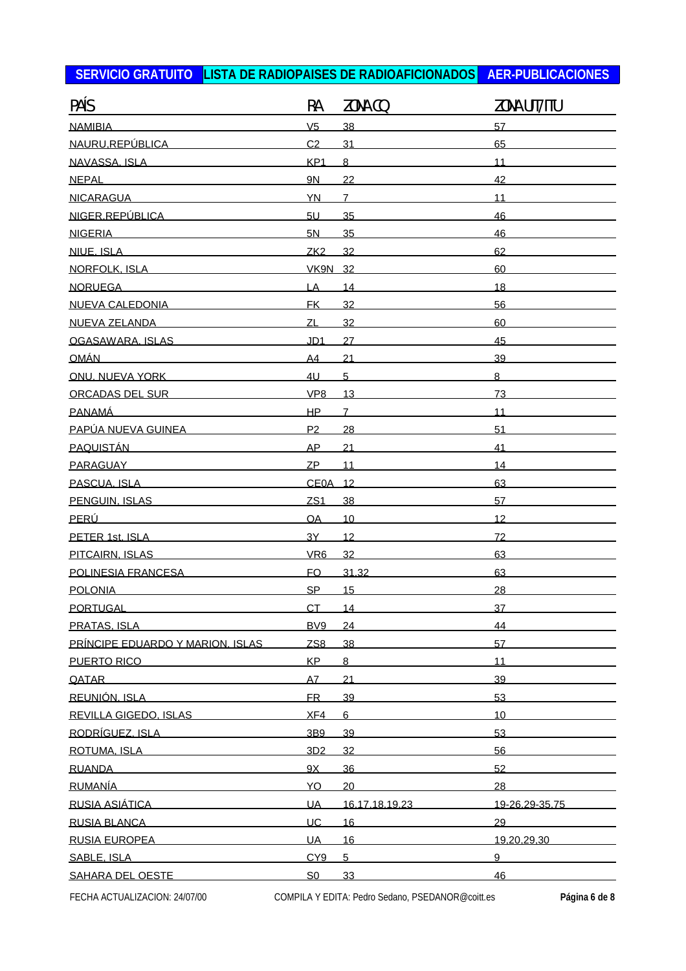| PAÍS                             | RA              | ZONA CQ        | ZONA UIT/ITU   |
|----------------------------------|-----------------|----------------|----------------|
| <b>NAMIBIA</b>                   | V <sub>5</sub>  | 38             | 57             |
| NAURU, REPÚBLICA                 | C <sub>2</sub>  | 31             | 65             |
| NAVASSA, ISLA                    | KP <sub>1</sub> | $\overline{8}$ | 11             |
| <b>NEPAL</b>                     | <b>9N</b>       | 22             | 42             |
| <b>NICARAGUA</b>                 | <b>YN</b>       | $\overline{7}$ | 11             |
| NIGER.REPÚBLICA                  | 5U              | 35             | 46             |
| <b>NIGERIA</b>                   | 5N              | 35             | 46             |
| NIUE. ISLA                       | ZK <sub>2</sub> | 32             | 62             |
| NORFOLK, ISLA                    | <b>VK9N 32</b>  |                | 60             |
| <b>NORUEGA</b>                   | LA              | 14             | 18             |
| <b>NUEVA CALEDONIA</b>           | <b>FK</b>       | 32             | 56             |
| NUEVA ZELANDA                    | ZL              | 32             | 60             |
| OGASAWARA, ISLAS                 | JD <sub>1</sub> | 27             | 45             |
| <u>OMÁN Lottera a la c</u>       | A <sub>4</sub>  | 21             | 39             |
| ONU. NUEVA YORK                  | 4 <sub>U</sub>  | 5              | $\overline{8}$ |
| ORCADAS DEL SUR                  | VP <sub>8</sub> | 13             | 73             |
| <b>PANAMÁ</b>                    | HP              | $\overline{7}$ | 11             |
| PAPÚA NUEVA GUINEA               | P <sub>2</sub>  | 28             | 51             |
| <b>PAQUISTÁN</b>                 | <b>AP</b>       | 21             | 41             |
| PARAGUAY                         | ZP              | 11             | 14             |
| PASCUA. ISLA                     | CE0A 12         |                | 63             |
| PENGUIN. ISLAS                   | ZS1             | 38             | 57             |
| <u>PERÚ</u>                      | OA              | 10             | 12             |
| PETER 1st. ISLA                  | 3Y              | 12             | 72             |
| PITCAIRN, ISLAS                  | VR <sub>6</sub> | 32             | 63             |
| POLINESIA FRANCESA               | <b>FO</b>       | 31.32          | 63             |
| <b>POLONIA</b>                   | <b>SP</b>       | 15             | 28             |
| PORTUGAL                         | <b>CT</b>       | 14             | 37             |
| PRATAS. ISLA                     | BV <sub>9</sub> | 24             | 44             |
| PRÍNCIPE EDUARDO Y MARION. ISLAS | ZS <sub>8</sub> | 38             | 57             |
| PUERTO RICO                      | KP              | 8              | 11             |
| QATAR                            | A7              | 21             | 39             |
| REUNIÓN, ISLA                    | <b>FR</b>       | 39             | 53             |
| <b>REVILLA GIGEDO. ISLAS</b>     | XF4             | 6              | 10             |
| <u>RODRÍGUEZ. ISLA</u>           | 3B9             | 39             | 53             |
| ROTUMA. ISLA                     | 3D2             | 32             | 56             |
| <b>RUANDA</b>                    | 9X              | 36             | 52             |
| <b>RUMANÍA</b>                   | YO              | 20             | 28             |
| RUSIA ASIÁTICA                   | <b>UA</b>       | 16.17.18.19.23 | 19-26.29-35.75 |
| <b>RUSIA BLANCA</b>              | <b>UC</b>       | 16             | 29             |
| <b>RUSIA EUROPEA</b>             | <b>UA</b>       | 16             | 19.20.29.30    |
| SABLE, ISLA                      | CY9             | 5              | 9              |
| SAHARA DEL OESTE                 | S <sub>0</sub>  | 33             | 46             |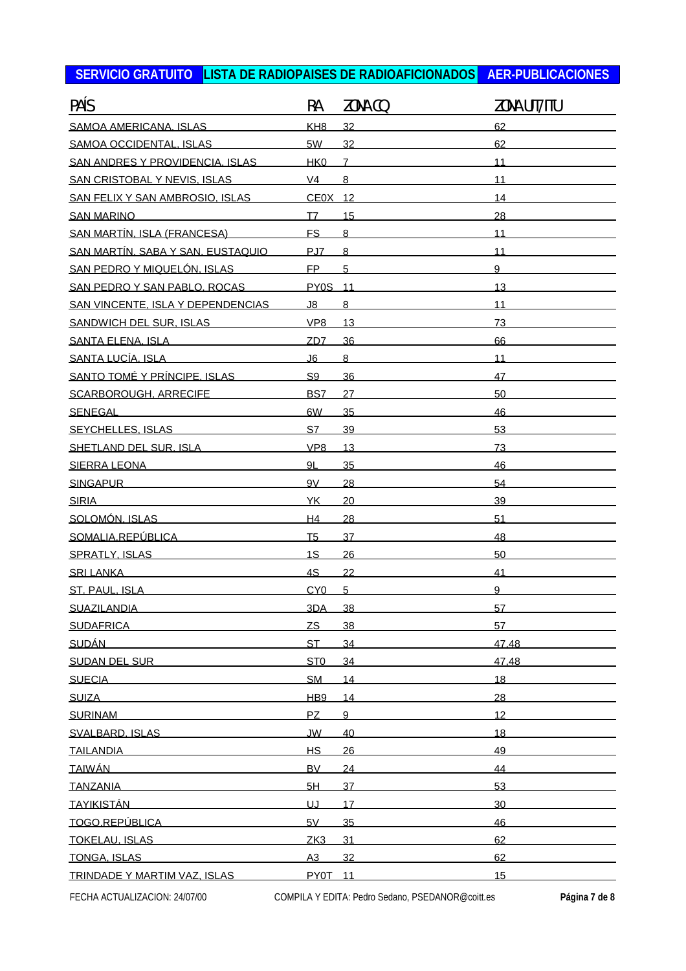| PAÍS                                     | RA              | ZONA CQ         | ZONA UIT/ITU |
|------------------------------------------|-----------------|-----------------|--------------|
| SAMOA AMERICANA, ISLAS                   | KH <sub>8</sub> | 32              | 62           |
| SAMOA OCCIDENTAL. ISLAS                  | 5W              | 32              | 62           |
| SAN ANDRES Y PROVIDENCIA. ISLAS          | HK <sub>0</sub> | $\overline{7}$  | 11           |
| SAN CRISTOBAL Y NEVIS, ISLAS             | V <sub>4</sub>  | 8               | 11           |
| SAN FELIX Y SAN AMBROSIO. ISLAS          | CE0X 12         |                 | 14           |
| <b>SAN MARINO</b>                        | T7              | 15              | 28           |
| SAN MARTÍN. ISLA (FRANCESA)              | <b>FS</b>       | $\overline{8}$  | 11           |
| <u>SAN MARTÍN, SABA Y SAN, EUSTAQUIO</u> | PJ7             | 8               | 11           |
| SAN PEDRO Y MIQUELÓN. ISLAS              | <b>FP</b>       | 5               | 9            |
| SAN PEDRO Y SAN PABLO, ROCAS             | <b>PY0S</b> 11  |                 | 13           |
| SAN VINCENTE. ISLA Y DEPENDENCIAS        | J8              | 8               | 11           |
| SANDWICH DEL SUR. ISLAS                  | VP8             | 13              | 73           |
| SANTA ELENA. ISLA                        | ZD <sub>7</sub> | 36              | 66           |
| SANTA LUCÍA, ISLA                        | J <sub>6</sub>  | $\overline{8}$  | 11           |
| SANTO TOMÉ Y PRÍNCIPE. ISLAS             | S <sub>9</sub>  | 36              | 47           |
| SCARBOROUGH, ARRECIFE                    | BS7             | 27              | 50           |
| SENEGAL                                  | 6W              | 35              | 46           |
| <b>SEYCHELLES, ISLAS</b>                 | S7              | 39              | 53           |
| SHETLAND DEL SUR. ISLA                   | VP <sub>8</sub> | 13              | 73           |
| <b>SIERRA LEONA</b>                      | 9L              | 35              | 46           |
| <b>SINGAPUR</b>                          | 9V              | 28              | 54           |
| <b>SIRIA</b>                             | YK.             | 20              | 39           |
| SOLOMÓN. ISLAS                           | H4              | 28              | 51           |
| SOMALIA.REPÚBLICA                        | T <sub>5</sub>  | 37              | 48           |
| <b>SPRATLY, ISLAS</b>                    | 1S              | 26              | 50           |
| <b>SRI LANKA</b>                         | 4S              | 22              | 41           |
| ST. PAUL. ISLA                           | CY <sub>0</sub> | 5               | 9            |
| <b>SUAZILANDIA</b>                       | 3DA             | 38              | 57           |
| <b>SUDAFRICA</b>                         | ZS              | 38              | 57           |
| <b>SUDÁN</b>                             | <b>ST</b>       | 34              | 47.48        |
| SUDAN DEL SUR                            | ST <sub>0</sub> | 34              | 47.48        |
| <b>SUECIA</b>                            | <b>SM</b>       | 14              | 18           |
| <b>SUIZA</b>                             | HB <sub>9</sub> | 14              | 28           |
| <b>SURINAM</b>                           | PZ              | 9               | 12           |
| SVALBARD. ISLAS                          | <b>JW</b>       | 40              | 18           |
| <b>TAILANDIA</b>                         | H <sub>S</sub>  | 26              | 49           |
| <b>TAIWÁN</b>                            | <b>BV</b>       | 24              | 44           |
| <b>TANZANIA</b>                          | 5H              | 37              | 53           |
| <u>TAYIKISTÁN</u>                        | UJ              | 17              | 30           |
| TOGO.REPÚBLICA                           | 5V              | 35              | 46           |
| <b>TOKELAU, ISLAS</b>                    | ZK <sub>3</sub> | 31              | 62           |
| <b>TONGA, ISLAS</b>                      | A3              | 32              | 62           |
| TRINDADE Y MARTIM VAZ, ISLAS             | PY0T            | $\overline{11}$ | 15           |